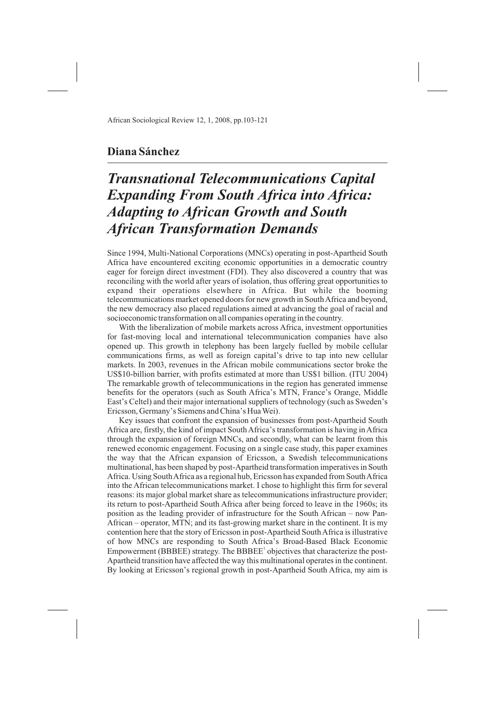African Sociological Review 12, 1, 2008, pp.103-121

## **Diana Sánchez**

# *Transnational Telecommunications Capital Expanding From South Africa into Africa: Adapting to African Growth and South African Transformation Demands*

Since 1994, Multi-National Corporations (MNCs) operating in post-Apartheid South Africa have encountered exciting economic opportunities in a democratic country eager for foreign direct investment (FDI). They also discovered a country that was reconciling with the world after years of isolation, thus offering great opportunities to expand their operations elsewhere in Africa. But while the booming telecommunications market opened doors for new growth in SouthAfrica and beyond, the new democracy also placed regulations aimed at advancing the goal of racial and socioeconomic transformation on all companies operating in the country.

With the liberalization of mobile markets across Africa, investment opportunities for fast-moving local and international telecommunication companies have also opened up. This growth in telephony has been largely fuelled by mobile cellular communications firms, as well as foreign capital's drive to tap into new cellular markets. In 2003, revenues in the African mobile communications sector broke the US\$10-billion barrier, with profits estimated at more than US\$1 billion. (ITU 2004) The remarkable growth of telecommunications in the region has generated immense benefits for the operators (such as South Africa's MTN, France's Orange, Middle East's Celtel) and their major international suppliers of technology (such as Sweden's Ericsson, Germany's Siemens and China's Hua Wei).

Key issues that confront the expansion of businesses from post-Apartheid South Africa are, firstly, the kind of impact South Africa's transformation is having in Africa through the expansion of foreign MNCs, and secondly, what can be learnt from this renewed economic engagement. Focusing on a single case study, this paper examines the way that the African expansion of Ericsson, a Swedish telecommunications multinational, has been shaped by post-Apartheid transformation imperatives in South Africa. Using SouthAfrica as a regional hub, Ericsson has expanded from SouthAfrica into the African telecommunications market. I chose to highlight this firm for several reasons: its major global market share as telecommunications infrastructure provider; its return to post-Apartheid South Africa after being forced to leave in the 1960s; its position as the leading provider of infrastructure for the South African – now Pan-African – operator, MTN; and its fast-growing market share in the continent. It is my contention here that the story of Ericsson in post-Apartheid South Africa is illustrative of how MNCs are responding to South Africa's Broad-Based Black Economic Empowerment (BBBEE) strategy. The BBBEE<sup>1</sup> objectives that characterize the post-Apartheid transition have affected the way this multinational operates in the continent. By looking at Ericsson's regional growth in post-Apartheid South Africa, my aim is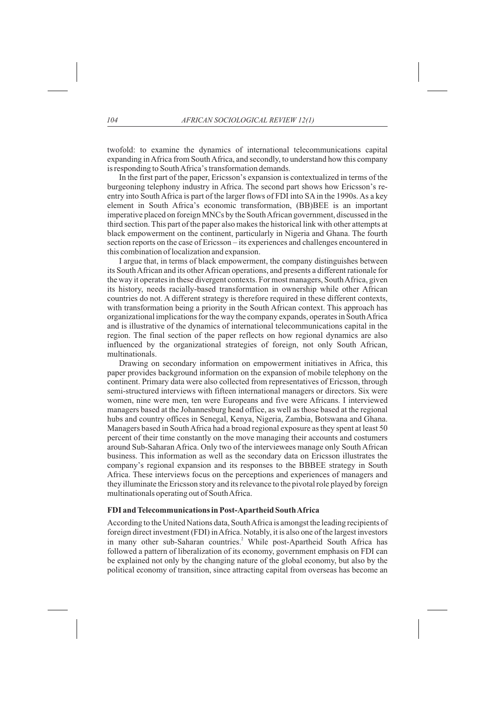twofold: to examine the dynamics of international telecommunications capital expanding inAfrica from SouthAfrica, and secondly, to understand how this company is responding to SouthAfrica's transformation demands.

In the first part of the paper, Ericsson's expansion is contextualized in terms of the burgeoning telephony industry in Africa. The second part shows how Ericsson's reentry into South Africa is part of the larger flows of FDI into SA in the 1990s. As a key element in South Africa's economic transformation, (BB)BEE is an important imperative placed on foreign MNCs by the SouthAfrican government, discussed in the third section. This part of the paper also makes the historical link with other attempts at black empowerment on the continent, particularly in Nigeria and Ghana. The fourth section reports on the case of Ericsson – its experiences and challenges encountered in this combination of localization and expansion.

I argue that, in terms of black empowerment, the company distinguishes between its SouthAfrican and its otherAfrican operations, and presents a different rationale for the way it operates in these divergent contexts. For most managers, SouthAfrica, given its history, needs racially-based transformation in ownership while other African countries do not. A different strategy is therefore required in these different contexts, with transformation being a priority in the South African context. This approach has organizational implications for the way the company expands, operates in SouthAfrica and is illustrative of the dynamics of international telecommunications capital in the region. The final section of the paper reflects on how regional dynamics are also influenced by the organizational strategies of foreign, not only South African, multinationals.

Drawing on secondary information on empowerment initiatives in Africa, this paper provides background information on the expansion of mobile telephony on the continent. Primary data were also collected from representatives of Ericsson, through semi-structured interviews with fifteen international managers or directors. Six were women, nine were men, ten were Europeans and five were Africans. I interviewed managers based at the Johannesburg head office, as well as those based at the regional hubs and country offices in Senegal, Kenya, Nigeria, Zambia, Botswana and Ghana. Managers based in SouthAfrica had a broad regional exposure as they spent at least 50 percent of their time constantly on the move managing their accounts and costumers around Sub-Saharan Africa. Only two of the interviewees manage only South African business. This information as well as the secondary data on Ericsson illustrates the company's regional expansion and its responses to the BBBEE strategy in South Africa. These interviews focus on the perceptions and experiences of managers and they illuminate the Ericsson story and its relevance to the pivotal role played by foreign multinationals operating out of SouthAfrica.

#### **FDI andTelecommunications in Post-Apartheid SouthAfrica**

According to the United Nations data, SouthAfrica is amongst the leading recipients of foreign direct investment (FDI) inAfrica. Notably, it is also one of the largest investors in many other sub-Saharan countries.<sup>2</sup> While post-Apartheid South Africa has followed a pattern of liberalization of its economy, government emphasis on FDI can be explained not only by the changing nature of the global economy, but also by the political economy of transition, since attracting capital from overseas has become an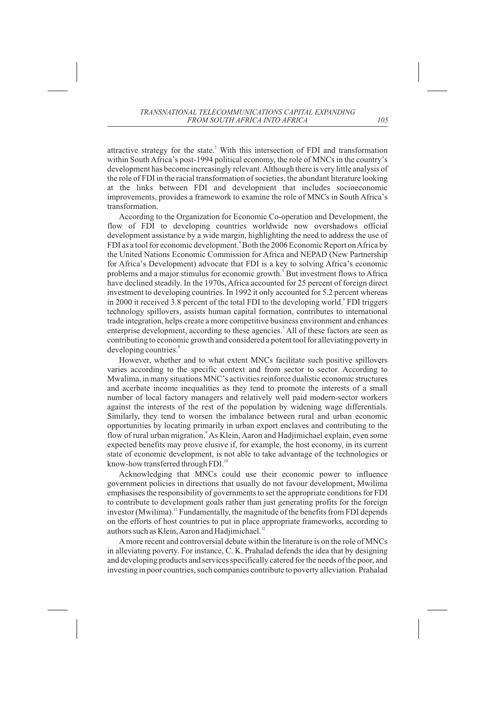attractive strategy for the state.<sup>3</sup> With this intersection of FDI and transformation within South Africa's post-1994 political economy, the role of MNCs in the country's development has become increasingly relevant.Although there is very little analysis of the role of FDI in the racial transformation of societies, the abundant literature looking at the links between FDI and development that includes socioeconomic improvements, provides a framework to examine the role of MNCs in South Africa's transformation.

According to the Organization for Economic Co-operation and Development, the flow of FDI to developing countries worldwide now overshadows official development assistance by a wide margin, highlighting the need to address the use of FDI as a tool for economic development.<sup>4</sup> Both the 2006 Economic Report on Africa by the United Nations Economic Commission for Africa and NEPAD (New Partnership for Africa's Development) advocate that FDI is a key to solving Africa's economic problems and a major stimulus for economic growth.<sup>5</sup> But investment flows to Africa have declined steadily. In the 1970s, Africa accounted for 25 percent of foreign direct investment to developing countries. In 1992 it only accounted for 5.2 percent whereas in 2000 it received 3.8 percent of the total FDI to the developing world. FDI triggers technology spillovers, assists human capital formation, contributes to international trade integration, helps create a more competitive business environment and enhances enterprise development, according to these agencies.<sup>7</sup> All of these factors are seen as contributing to economic growth and considered a potent tool for alleviating poverty in developing countries.<sup>8</sup>

However, whether and to what extent MNCs facilitate such positive spillovers varies according to the specific context and from sector to sector. According to Mwalima, in many situations MNC's activities reinforce dualistic economic structures and acerbate income inequalities as they tend to promote the interests of a small number of local factory managers and relatively well paid modern-sector workers against the interests of the rest of the population by widening wage differentials. Similarly, they tend to worsen the imbalance between rural and urban economic opportunities by locating primarily in urban export enclaves and contributing to the flow of rural urban migration.<sup>9</sup> As Klein, Aaron and Hadjimichael explain, even some expected benefits may prove elusive if, for example, the host economy, in its current state of economic development, is not able to take advantage of the technologies or know-how transferred through FDI.<sup>10</sup>

Acknowledging that MNCs could use their economic power to influence government policies in directions that usually do not favour development, Mwilima emphasises the responsibility of governments to set the appropriate conditions for FDI to contribute to development goals rather than just generating profits for the foreign investor (Mwilima).<sup>11</sup> Fundamentally, the magnitude of the benefits from FDI depends on the efforts of host countries to put in place appropriate frameworks, according to authors such as Klein, Aaron and Hadjimichael.<sup>12</sup>

A more recent and controversial debate within the literature is on the role of MNCs in alleviating poverty. For instance, C. K. Prahalad defends the idea that by designing and developing products and services specifically catered for the needs of the poor, and investing in poor countries, such companies contribute to poverty alleviation. Prahalad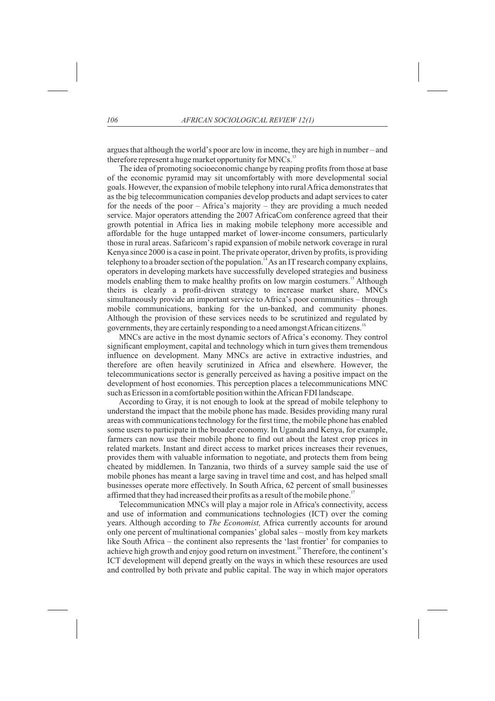argues that although the world's poor are low in income, they are high in number – and therefore represent a huge market opportunity for MNCs.<sup>13</sup>

The idea of promoting socioeconomic change by reaping profits from those at base of the economic pyramid may sit uncomfortably with more developmental social goals. However, the expansion of mobile telephony into ruralAfrica demonstrates that as the big telecommunication companies develop products and adapt services to cater for the needs of the poor – Africa's majority – they are providing a much needed service. Major operators attending the 2007 AfricaCom conference agreed that their growth potential in Africa lies in making mobile telephony more accessible and affordable for the huge untapped market of lower-income consumers, particularly those in rural areas. Safaricom's rapid expansion of mobile network coverage in rural Kenya since 2000 is a case in point. The private operator, driven by profits, is providing telephony to a broader section of the population.<sup>14</sup> As an IT research company explains, operators in developing markets have successfully developed strategies and business models enabling them to make healthy profits on low margin costumers.<sup>15</sup> Although theirs is clearly a profit-driven strategy to increase market share, MNCs simultaneously provide an important service to Africa's poor communities – through mobile communications, banking for the un-banked, and community phones. Although the provision of these services needs to be scrutinized and regulated by governments, they are certainly responding to a need amongstAfrican citizens. 16

MNCs are active in the most dynamic sectors of Africa's economy. They control significant employment, capital and technology which in turn gives them tremendous influence on development. Many MNCs are active in extractive industries, and therefore are often heavily scrutinized in Africa and elsewhere. However, the telecommunications sector is generally perceived as having a positive impact on the development of host economies. This perception places a telecommunications MNC such as Ericsson in a comfortable position within theAfrican FDI landscape.

According to Gray, it is not enough to look at the spread of mobile telephony to understand the impact that the mobile phone has made. Besides providing many rural areas with communications technology for the first time, the mobile phone has enabled some users to participate in the broader economy. In Uganda and Kenya, for example, farmers can now use their mobile phone to find out about the latest crop prices in related markets. Instant and direct access to market prices increases their revenues, provides them with valuable information to negotiate, and protects them from being cheated by middlemen. In Tanzania, two thirds of a survey sample said the use of mobile phones has meant a large saving in travel time and cost, and has helped small businesses operate more effectively. In South Africa, 62 percent of small businesses affirmed that they had increased their profits as a result of the mobile phone.<sup>17</sup>

Telecommunication MNCs will play a major role in Africa's connectivity, access and use of information and communications technologies (ICT) over the coming years. Although according to *The Economist*, Africa currently accounts for around only one percent of multinational companies' global sales – mostly from key markets like South Africa – the continent also represents the 'last frontier' for companies to achieve high growth and enjoy good return on investment.<sup>18</sup> Therefore, the continent's ICT development will depend greatly on the ways in which these resources are used and controlled by both private and public capital. The way in which major operators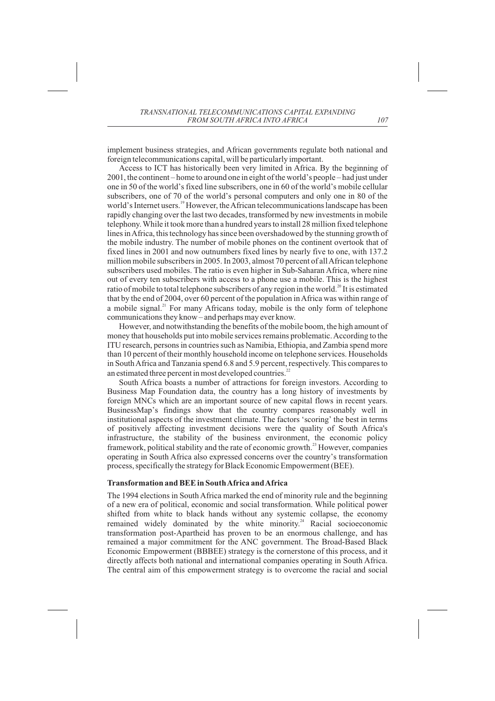implement business strategies, and African governments regulate both national and foreign telecommunications capital, will be particularly important.

Access to ICT has historically been very limited in Africa. By the beginning of 2001, the continent – home to around one in eight of the world's people – had just under one in 50 of the world's fixed line subscribers, one in 60 of the world's mobile cellular subscribers, one of 70 of the world's personal computers and only one in 80 of the world's Internet users.<sup>19</sup> However, the African telecommunications landscape has been rapidly changing over the last two decades, transformed by new investments in mobile telephony. While it took more than a hundred years to install 28 million fixed telephone lines inAfrica, this technology has since been overshadowed by the stunning growth of the mobile industry. The number of mobile phones on the continent overtook that of fixed lines in 2001 and now outnumbers fixed lines by nearly five to one, with 137.2 million mobile subscribers in 2005. In 2003, almost 70 percent of allAfrican telephone subscribers used mobiles. The ratio is even higher in Sub-Saharan Africa, where nine out of every ten subscribers with access to a phone use a mobile. This is the highest ratio of mobile to total telephone subscribers of any region in the world.<sup>20</sup> It is estimated that by the end of 2004, over 60 percent of the population inAfrica was within range of a mobile signal.<sup>21</sup> For many Africans today, mobile is the only form of telephone communications they know – and perhaps may ever know.

However, and notwithstanding the benefits of the mobile boom, the high amount of money that households put into mobile services remains problematic.According to the ITU research, persons in countries such as Namibia, Ethiopia, and Zambia spend more than 10 percent of their monthly household income on telephone services. Households in SouthAfrica and Tanzania spend 6.8 and 5.9 percent, respectively. This compares to an estimated three percent in most developed countries.<sup>22</sup>

South Africa boasts a number of attractions for foreign investors. According to Business Map Foundation data, the country has a long history of investments by foreign MNCs which are an important source of new capital flows in recent years. BusinessMap's findings show that the country compares reasonably well in institutional aspects of the investment climate. The factors 'scoring' the best in terms of positively affecting investment decisions were the quality of South Africa's infrastructure, the stability of the business environment, the economic policy framework, political stability and the rate of economic growth.<sup>23</sup> However, companies operating in South Africa also expressed concerns over the country's transformation process, specifically the strategy for Black Economic Empowerment (BEE).

#### **Transformation and BEE in SouthAfrica andAfrica**

The 1994 elections in South Africa marked the end of minority rule and the beginning of a new era of political, economic and social transformation. While political power shifted from white to black hands without any systemic collapse, the economy remained widely dominated by the white minority.<sup>24</sup> Racial socioeconomic transformation post-Apartheid has proven to be an enormous challenge, and has remained a major commitment for the ANC government. The Broad-Based Black Economic Empowerment (BBBEE) strategy is the cornerstone of this process, and it directly affects both national and international companies operating in South Africa. The central aim of this empowerment strategy is to overcome the racial and social

*107*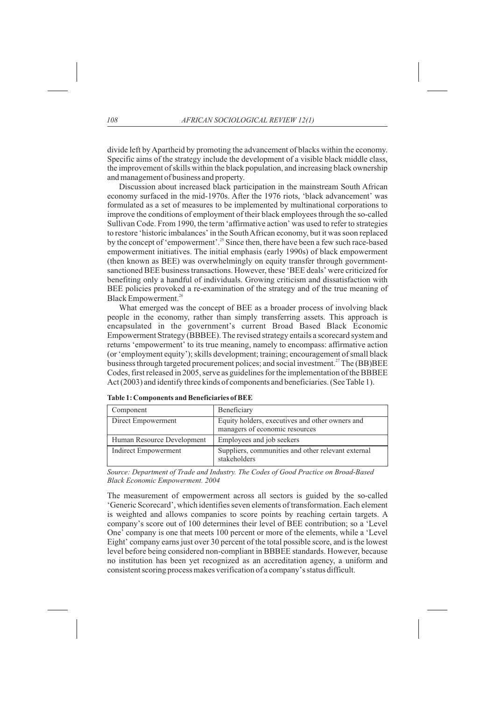divide left by Apartheid by promoting the advancement of blacks within the economy. Specific aims of the strategy include the development of a visible black middle class, the improvement of skills within the black population, and increasing black ownership and management of business and property.

Discussion about increased black participation in the mainstream South African economy surfaced in the mid-1970s. After the 1976 riots, 'black advancement' was formulated as a set of measures to be implemented by multinational corporations to improve the conditions of employment of their black employees through the so-called Sullivan Code. From 1990, the term 'affirmative action' was used to refer to strategies to restore 'historic imbalances' in the SouthAfrican economy, but it was soon replaced by the concept of 'empowerment'.<sup>25</sup> Since then, there have been a few such race-based empowerment initiatives. The initial emphasis (early 1990s) of black empowerment (then known as BEE) was overwhelmingly on equity transfer through governmentsanctioned BEE business transactions. However, these 'BEE deals' were criticized for benefiting only a handful of individuals. Growing criticism and dissatisfaction with BEE policies provoked a re-examination of the strategy and of the true meaning of Black Empowerment. 26

What emerged was the concept of BEE as a broader process of involving black people in the economy, rather than simply transferring assets. This approach is encapsulated in the government's current Broad Based Black Economic Empowerment Strategy (BBBEE). The revised strategy entails a scorecard system and returns 'empowerment' to its true meaning, namely to encompass: affirmative action (or 'employment equity'); skills development; training; encouragement of small black business through targeted procurement polices; and social investment.<sup>27</sup> The (BB)BEE Codes, first released in 2005, serve as guidelines for the implementation of the BBBEE Act (2003) and identify three kinds of components and beneficiaries. (See Table 1).

| Component                   | Beneficiary                                                                       |
|-----------------------------|-----------------------------------------------------------------------------------|
| Direct Empowerment          | Equity holders, executives and other owners and<br>managers of economic resources |
| Human Resource Development  | Employees and job seekers                                                         |
| <b>Indirect Empowerment</b> | Suppliers, communities and other relevant external<br>stakeholders                |

#### **Table 1: Components and Beneficiaries of BEE**

*Source: Department of Trade and Industry. The Codes of Good Practice on Broad-Based Black Economic Empowerment. 2004*

The measurement of empowerment across all sectors is guided by the so-called 'Generic Scorecard', which identifies seven elements of transformation. Each element is weighted and allows companies to score points by reaching certain targets. A company's score out of 100 determines their level of BEE contribution; so a 'Level One' company is one that meets 100 percent or more of the elements, while a 'Level Eight' company earns just over 30 percent of the total possible score, and is the lowest level before being considered non-compliant in BBBEE standards. However, because no institution has been yet recognized as an accreditation agency, a uniform and consistent scoring process makes verification of a company's status difficult.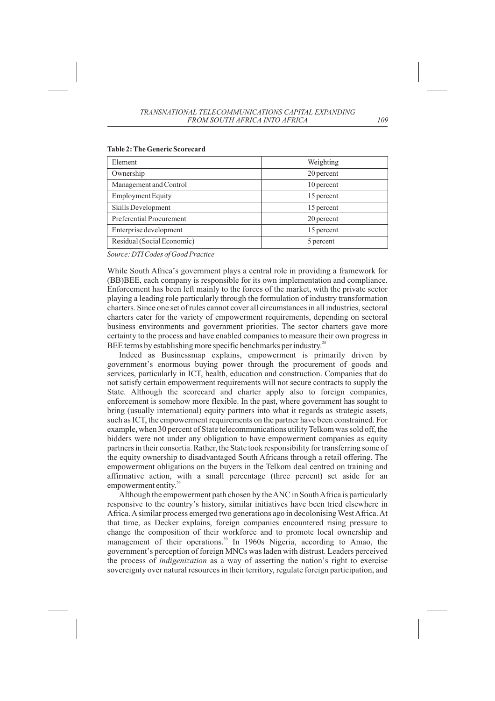| Element                    | Weighting  |
|----------------------------|------------|
| Ownership                  | 20 percent |
| Management and Control     | 10 percent |
| <b>Employment Equity</b>   | 15 percent |
| Skills Development         | 15 percent |
| Preferential Procurement   | 20 percent |
| Enterprise development     | 15 percent |
| Residual (Social Economic) | 5 percent  |

*Source: DTI Codes of Good Practice*

While South Africa's government plays a central role in providing a framework for (BB)BEE, each company is responsible for its own implementation and compliance. Enforcement has been left mainly to the forces of the market, with the private sector playing a leading role particularly through the formulation of industry transformation charters. Since one set of rules cannot cover all circumstances in all industries, sectoral charters cater for the variety of empowerment requirements, depending on sectoral business environments and government priorities. The sector charters gave more certainty to the process and have enabled companies to measure their own progress in BEE terms by establishing more specific benchmarks per industry.<sup>28</sup>

Indeed as Businessmap explains, empowerment is primarily driven by government's enormous buying power through the procurement of goods and services, particularly in ICT, health, education and construction. Companies that do not satisfy certain empowerment requirements will not secure contracts to supply the State. Although the scorecard and charter apply also to foreign companies, enforcement is somehow more flexible. In the past, where government has sought to bring (usually international) equity partners into what it regards as strategic assets, such as ICT, the empowerment requirements on the partner have been constrained. For example, when 30 percent of State telecommunications utility Telkom was sold off, the bidders were not under any obligation to have empowerment companies as equity partners in their consortia. Rather, the State took responsibility for transferring some of the equity ownership to disadvantaged South Africans through a retail offering. The empowerment obligations on the buyers in the Telkom deal centred on training and affirmative action, with a small percentage (three percent) set aside for an empowerment entity.<sup>29</sup>

Although the empowerment path chosen by theANC in SouthAfrica is particularly responsive to the country's history, similar initiatives have been tried elsewhere in Africa.Asimilar process emerged two generations ago in decolonising WestAfrica.At that time, as Decker explains, foreign companies encountered rising pressure to change the composition of their workforce and to promote local ownership and management of their operations.<sup>30</sup> In 1960s Nigeria, according to Amao, the government's perception of foreign MNCs was laden with distrust. Leaders perceived the process of *indigenization* as a way of asserting the nation's right to exercise sovereignty over natural resources in their territory, regulate foreign participation, and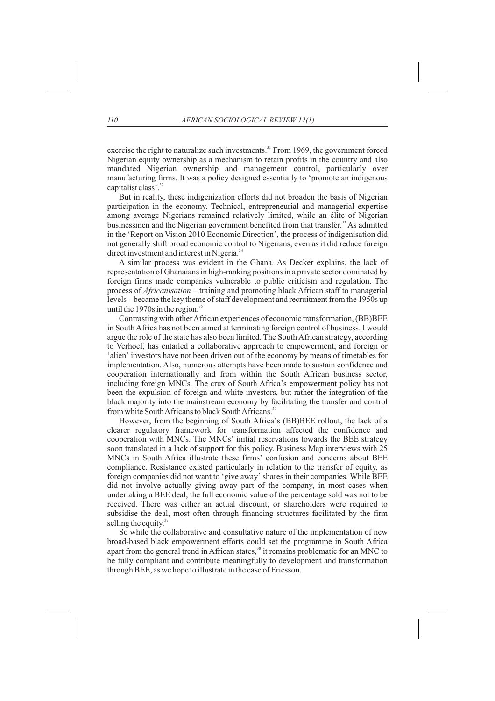exercise the right to naturalize such investments.<sup>31</sup> From 1969, the government forced Nigerian equity ownership as a mechanism to retain profits in the country and also mandated Nigerian ownership and management control, particularly over manufacturing firms. It was a policy designed essentially to 'promote an indigenous capitalist class'.<sup>32</sup>

But in reality, these indigenization efforts did not broaden the basis of Nigerian participation in the economy. Technical, entrepreneurial and managerial expertise among average Nigerians remained relatively limited, while an élite of Nigerian businessmen and the Nigerian government benefited from that transfer.<sup>33</sup> As admitted in the 'Report on Vision 2010 Economic Direction', the process of indigenisation did not generally shift broad economic control to Nigerians, even as it did reduce foreign direct investment and interest in Nigeria.<sup>34</sup>

A similar process was evident in the Ghana. As Decker explains, the lack of representation of Ghanaians in high-ranking positions in a private sector dominated by foreign firms made companies vulnerable to public criticism and regulation. The process of *Africanisation* – training and promoting black African staff to managerial levels – became the key theme of staff development and recruitment from the 1950s up until the 1970s in the region.<sup>35</sup>

Contrasting with otherAfrican experiences of economic transformation, (BB)BEE in South Africa has not been aimed at terminating foreign control of business. I would argue the role of the state has also been limited. The South African strategy, according to Verhoef, has entailed a collaborative approach to empowerment, and foreign or 'alien' investors have not been driven out of the economy by means of timetables for implementation. Also, numerous attempts have been made to sustain confidence and cooperation internationally and from within the South African business sector, including foreign MNCs. The crux of South Africa's empowerment policy has not been the expulsion of foreign and white investors, but rather the integration of the black majority into the mainstream economy by facilitating the transfer and control from white South Africans to black South Africans.<sup>36</sup>

However, from the beginning of South Africa's (BB)BEE rollout, the lack of a clearer regulatory framework for transformation affected the confidence and cooperation with MNCs. The MNCs' initial reservations towards the BEE strategy soon translated in a lack of support for this policy. Business Map interviews with 25 MNCs in South Africa illustrate these firms' confusion and concerns about BEE compliance. Resistance existed particularly in relation to the transfer of equity, as foreign companies did not want to 'give away' shares in their companies. While BEE did not involve actually giving away part of the company, in most cases when undertaking a BEE deal, the full economic value of the percentage sold was not to be received. There was either an actual discount, or shareholders were required to subsidise the deal, most often through financing structures facilitated by the firm selling the equity. $37$ 

So while the collaborative and consultative nature of the implementation of new broad-based black empowerment efforts could set the programme in South Africa apart from the general trend in African states, $38$  it remains problematic for an MNC to be fully compliant and contribute meaningfully to development and transformation through BEE, as we hope to illustrate in the case of Ericsson.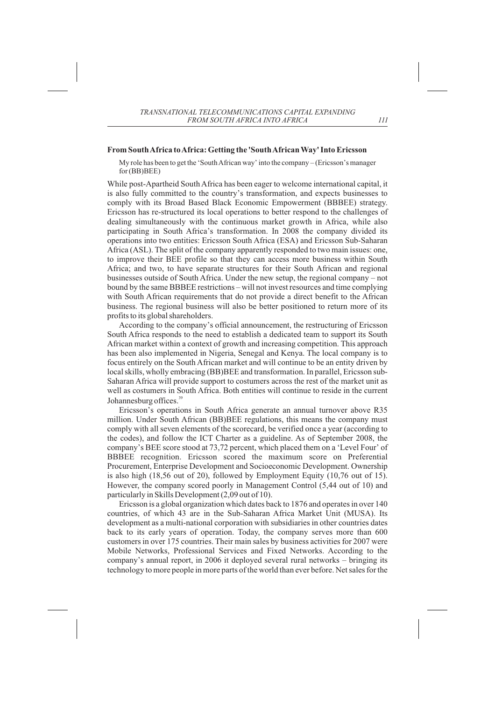#### **From SouthAfrica toAfrica: Getting the 'SouthAfricanWay' Into Ericsson**

My role has been to get the 'SouthAfrican way' into the company – (Ericsson's manager for (BB)BEE)

While post-Apartheid South Africa has been eager to welcome international capital, it is also fully committed to the country's transformation, and expects businesses to comply with its Broad Based Black Economic Empowerment (BBBEE) strategy. Ericsson has re-structured its local operations to better respond to the challenges of dealing simultaneously with the continuous market growth in Africa, while also participating in South Africa's transformation. In 2008 the company divided its operations into two entities: Ericsson South Africa (ESA) and Ericsson Sub-Saharan Africa (ASL). The split of the company apparently responded to two main issues: one, to improve their BEE profile so that they can access more business within South Africa; and two, to have separate structures for their South African and regional businesses outside of South Africa. Under the new setup, the regional company – not bound by the same BBBEE restrictions – will not invest resources and time complying with South African requirements that do not provide a direct benefit to the African business. The regional business will also be better positioned to return more of its profits to its global shareholders.

According to the company's official announcement, the restructuring of Ericsson South Africa responds to the need to establish a dedicated team to support its South African market within a context of growth and increasing competition. This approach has been also implemented in Nigeria, Senegal and Kenya. The local company is to focus entirely on the South African market and will continue to be an entity driven by local skills, wholly embracing (BB)BEE and transformation. In parallel, Ericsson sub-Saharan Africa will provide support to costumers across the rest of the market unit as well as costumers in South Africa. Both entities will continue to reside in the current Johannesburg offices.<sup>39</sup>

Ericsson's operations in South Africa generate an annual turnover above R35 million. Under South African (BB)BEE regulations, this means the company must comply with all seven elements of the scorecard, be verified once a year (according to the codes), and follow the ICT Charter as a guideline. As of September 2008, the company's BEE score stood at 73,72 percent, which placed them on a 'Level Four' of BBBEE recognition. Ericsson scored the maximum score on Preferential Procurement, Enterprise Development and Socioeconomic Development. Ownership is also high (18,56 out of 20), followed by Employment Equity (10,76 out of 15). However, the company scored poorly in Management Control (5,44 out of 10) and particularly in Skills Development (2,09 out of 10).

Ericsson is a global organization which dates back to 1876 and operates in over 140 countries, of which 43 are in the Sub-Saharan Africa Market Unit (MUSA). Its development as a multi-national corporation with subsidiaries in other countries dates back to its early years of operation. Today, the company serves more than 600 customers in over 175 countries. Their main sales by business activities for 2007 were Mobile Networks, Professional Services and Fixed Networks. According to the company's annual report, in 2006 it deployed several rural networks – bringing its technology to more people in more parts of the world than ever before. Net sales for the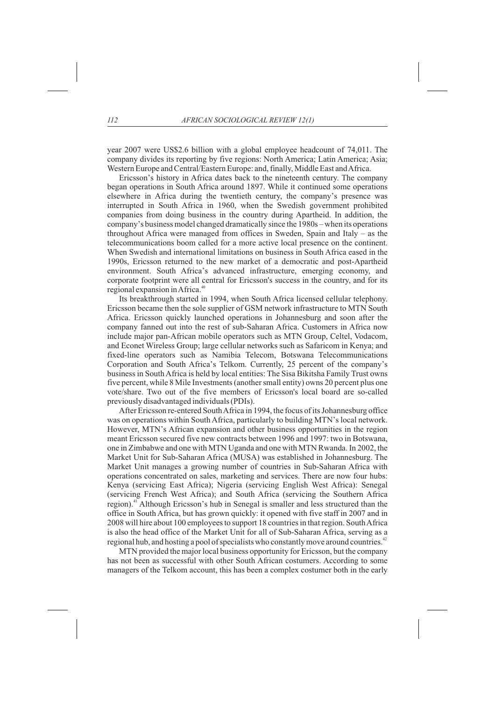year 2007 were US\$2.6 billion with a global employee headcount of 74,011. The company divides its reporting by five regions: North America; Latin America; Asia; Western Europe and Central/Eastern Europe: and, finally, Middle East andAfrica.

Ericsson's history in Africa dates back to the nineteenth century. The company began operations in South Africa around 1897. While it continued some operations elsewhere in Africa during the twentieth century, the company's presence was interrupted in South Africa in 1960, when the Swedish government prohibited companies from doing business in the country during Apartheid. In addition, the company's business model changed dramatically since the 1980s – when its operations throughout Africa were managed from offices in Sweden. Spain and Italy  $-$  as the telecommunications boom called for a more active local presence on the continent. When Swedish and international limitations on business in South Africa eased in the 1990s, Ericsson returned to the new market of a democratic and post-Apartheid environment. South Africa's advanced infrastructure, emerging economy, and corporate footprint were all central for Ericsson's success in the country, and for its regional expansion inAfrica. 40

Its breakthrough started in 1994, when South Africa licensed cellular telephony. Ericsson became then the sole supplier of GSM network infrastructure to MTN South Africa. Ericsson quickly launched operations in Johannesburg and soon after the company fanned out into the rest of sub-Saharan Africa. Customers in Africa now include major pan-African mobile operators such as MTN Group, Celtel, Vodacom, and Econet Wireless Group; large cellular networks such as Safaricom in Kenya; and fixed-line operators such as Namibia Telecom, Botswana Telecommunications Corporation and South Africa's Telkom. Currently, 25 percent of the company's business in South Africa is held by local entities: The Sisa Bikitsha Family Trust owns five percent, while 8 Mile Investments (another small entity) owns 20 percent plus one vote/share. Two out of the five members of Ericsson's local board are so-called previously disadvantaged individuals (PDIs).

After Ericsson re-entered SouthAfrica in 1994, the focus of its Johannesburg office was on operations within South Africa, particularly to building MTN's local network. However, MTN's African expansion and other business opportunities in the region meant Ericsson secured five new contracts between 1996 and 1997: two in Botswana, one in Zimbabwe and one with MTN Uganda and one with MTN Rwanda. In 2002, the Market Unit for Sub-Saharan Africa (MUSA) was established in Johannesburg. The Market Unit manages a growing number of countries in Sub-Saharan Africa with operations concentrated on sales, marketing and services. There are now four hubs: Kenya (servicing East Africa); Nigeria (servicing English West Africa): Senegal (servicing French West Africa); and South Africa (servicing the Southern Africa region).<sup>41</sup> Although Ericsson's hub in Senegal is smaller and less structured than the office in South Africa, but has grown quickly: it opened with five staff in 2007 and in 2008 will hire about 100 employees to support 18 countries in that region. SouthAfrica is also the head office of the Market Unit for all of Sub-Saharan Africa, serving as a regional hub, and hosting a pool of specialists who constantly move around countries.<sup>42</sup>

MTN provided the major local business opportunity for Ericsson, but the company has not been as successful with other South African costumers. According to some managers of the Telkom account, this has been a complex costumer both in the early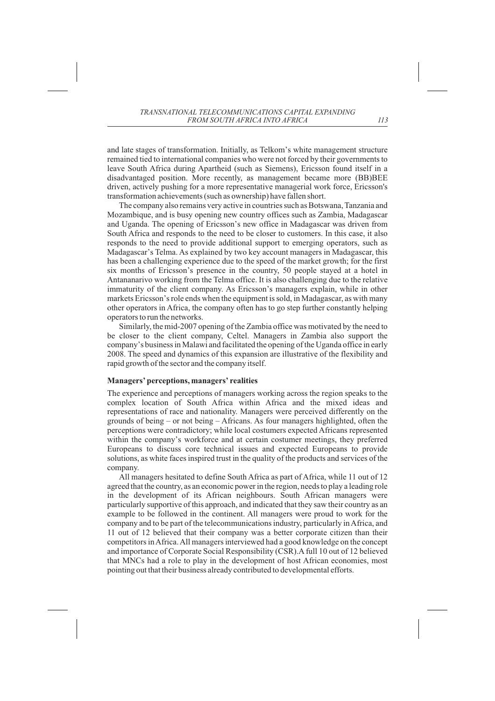and late stages of transformation. Initially, as Telkom's white management structure remained tied to international companies who were not forced by their governments to leave South Africa during Apartheid (such as Siemens), Ericsson found itself in a disadvantaged position. More recently, as management became more (BB)BEE driven, actively pushing for a more representative managerial work force, Ericsson's transformation achievements (such as ownership) have fallen short.

The company also remains very active in countries such as Botswana, Tanzania and Mozambique, and is busy opening new country offices such as Zambia, Madagascar and Uganda. The opening of Ericsson's new office in Madagascar was driven from South Africa and responds to the need to be closer to customers. In this case, it also responds to the need to provide additional support to emerging operators, such as Madagascar's Telma. As explained by two key account managers in Madagascar, this has been a challenging experience due to the speed of the market growth; for the first six months of Ericsson's presence in the country, 50 people stayed at a hotel in Antananarivo working from the Telma office. It is also challenging due to the relative immaturity of the client company. As Ericsson's managers explain, while in other markets Ericsson's role ends when the equipment is sold, in Madagascar, as with many other operators in Africa, the company often has to go step further constantly helping operators to run the networks.

Similarly, the mid-2007 opening of the Zambia office was motivated by the need to be closer to the client company, Celtel. Managers in Zambia also support the company's business in Malawi and facilitated the opening of the Uganda office in early 2008. The speed and dynamics of this expansion are illustrative of the flexibility and rapid growth of the sector and the company itself.

#### **Managers' perceptions, managers' realities**

The experience and perceptions of managers working across the region speaks to the complex location of South Africa within Africa and the mixed ideas and representations of race and nationality. Managers were perceived differently on the grounds of being – or not being – Africans. As four managers highlighted, often the perceptions were contradictory; while local costumers expected Africans represented within the company's workforce and at certain costumer meetings, they preferred Europeans to discuss core technical issues and expected Europeans to provide solutions, as white faces inspired trust in the quality of the products and services of the company.

All managers hesitated to define South Africa as part of Africa, while 11 out of 12 agreed that the country, as an economic power in the region, needs to play a leading role in the development of its African neighbours. South African managers were particularly supportive of this approach, and indicated that they saw their country as an example to be followed in the continent. All managers were proud to work for the company and to be part of the telecommunications industry, particularly in Africa, and 11 out of 12 believed that their company was a better corporate citizen than their competitors inAfrica.All managers interviewed had a good knowledge on the concept and importance of Corporate Social Responsibility (CSR).A full 10 out of 12 believed that MNCs had a role to play in the development of host African economies, most pointing out that their business already contributed to developmental efforts.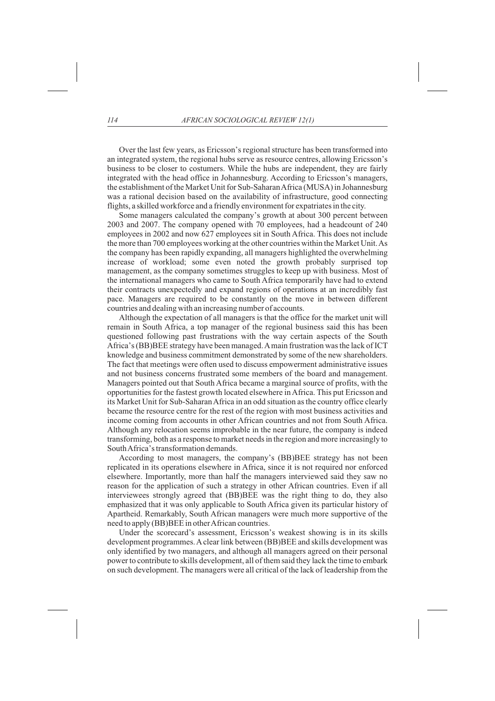Over the last few years, as Ericsson's regional structure has been transformed into an integrated system, the regional hubs serve as resource centres, allowing Ericsson's business to be closer to costumers. While the hubs are independent, they are fairly integrated with the head office in Johannesburg. According to Ericsson's managers, the establishment of the Market Unit for Sub-SaharanAfrica (MUSA) in Johannesburg was a rational decision based on the availability of infrastructure, good connecting flights, a skilled workforce and a friendly environment for expatriates in the city.

Some managers calculated the company's growth at about 300 percent between 2003 and 2007. The company opened with 70 employees, had a headcount of 240 employees in 2002 and now 627 employees sit in South Africa. This does not include the more than 700 employees working at the other countries within the Market Unit.As the company has been rapidly expanding, all managers highlighted the overwhelming increase of workload; some even noted the growth probably surprised top management, as the company sometimes struggles to keep up with business. Most of the international managers who came to South Africa temporarily have had to extend their contracts unexpectedly and expand regions of operations at an incredibly fast pace. Managers are required to be constantly on the move in between different countries and dealing with an increasing number of accounts.

Although the expectation of all managers is that the office for the market unit will remain in South Africa, a top manager of the regional business said this has been questioned following past frustrations with the way certain aspects of the South Africa's (BB)BEE strategy have been managed.Amain frustration was the lack of ICT knowledge and business commitment demonstrated by some of the new shareholders. The fact that meetings were often used to discuss empowerment administrative issues and not business concerns frustrated some members of the board and management. Managers pointed out that South Africa became a marginal source of profits, with the opportunities for the fastest growth located elsewhere in Africa. This put Ericsson and its Market Unit for Sub-SaharanAfrica in an odd situation as the country office clearly became the resource centre for the rest of the region with most business activities and income coming from accounts in other African countries and not from South Africa. Although any relocation seems improbable in the near future, the company is indeed transforming, both as a response to market needs in the region and more increasingly to SouthAfrica's transformation demands.

According to most managers, the company's (BB)BEE strategy has not been replicated in its operations elsewhere in Africa, since it is not required nor enforced elsewhere. Importantly, more than half the managers interviewed said they saw no reason for the application of such a strategy in other African countries. Even if all interviewees strongly agreed that (BB)BEE was the right thing to do, they also emphasized that it was only applicable to South Africa given its particular history of Apartheid. Remarkably, South African managers were much more supportive of the need to apply (BB)BEE in otherAfrican countries.

Under the scorecard's assessment, Ericsson's weakest showing is in its skills development programmes. A clear link between (BB)BEE and skills development was only identified by two managers, and although all managers agreed on their personal power to contribute to skills development, all of them said they lack the time to embark on such development. The managers were all critical of the lack of leadership from the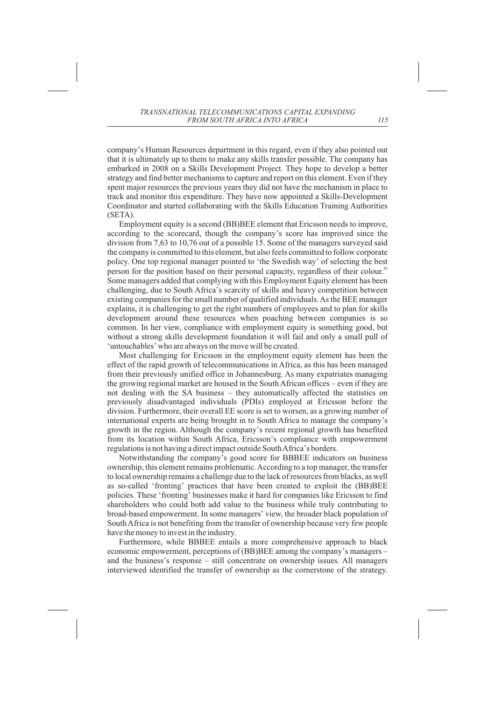company's Human Resources department in this regard, even if they also pointed out that it is ultimately up to them to make any skills transfer possible. The company has embarked in 2008 on a Skills Development Project. They hope to develop a better strategy and find better mechanisms to capture and report on this element. Even if they spent major resources the previous years they did not have the mechanism in place to track and monitor this expenditure. They have now appointed a Skills-Development Coordinator and started collaborating with the Skills Education Training Authorities (SETA).

Employment equity is a second (BB)BEE element that Ericsson needs to improve, according to the scorecard, though the company's score has improved since the division from 7,63 to 10,76 out of a possible 15. Some of the managers surveyed said the company is committed to this element, but also feels committed to follow corporate policy. One top regional manager pointed to 'the Swedish way' of selecting the best person for the position based on their personal capacity, regardless of their colour.<sup>43</sup> Some managers added that complying with this Employment Equity element has been challenging, due to South Africa's scarcity of skills and heavy competition between existing companies for the small number of qualified individuals.As the BEE manager explains, it is challenging to get the right numbers of employees and to plan for skills development around these resources when poaching between companies is so common. In her view, compliance with employment equity is something good, but without a strong skills development foundation it will fail and only a small pull of 'untouchables' who are always on the move will be created.

Most challenging for Ericsson in the employment equity element has been the effect of the rapid growth of telecommunications in Africa, as this has been managed from their previously unified office in Johannesburg. As many expatriates managing the growing regional market are housed in the South African offices – even if they are not dealing with the SA business – they automatically affected the statistics on previously disadvantaged individuals (PDIs) employed at Ericsson before the division. Furthermore, their overall EE score is set to worsen, as a growing number of international experts are being brought in to South Africa to manage the company's growth in the region. Although the company's recent regional growth has benefited from its location within South Africa, Ericsson's compliance with empowerment regulations is not having a direct impact outside SouthAfrica's borders.

Notwithstanding the company's good score for BBBEE indicators on business ownership, this element remains problematic.According to a top manager, the transfer to local ownership remains a challenge due to the lack of resources from blacks, as well as so-called 'fronting' practices that have been created to exploit the (BB)BEE policies. These 'fronting' businesses make it hard for companies like Ericsson to find shareholders who could both add value to the business while truly contributing to broad-based empowerment. In some managers' view, the broader black population of South Africa is not benefiting from the transfer of ownership because very few people have the money to invest in the industry.

Furthermore, while BBBEE entails a more comprehensive approach to black economic empowerment, perceptions of (BB)BEE among the company's managers – and the business's response – still concentrate on ownership issues. All managers interviewed identified the transfer of ownership as the cornerstone of the strategy.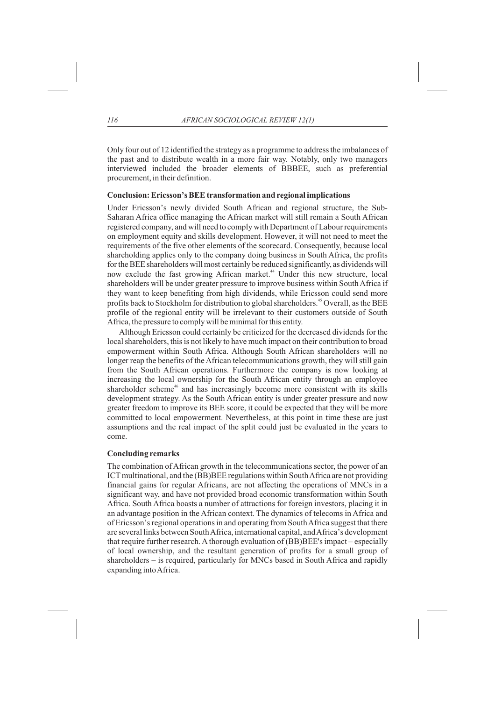Only four out of 12 identified the strategy as a programme to address the imbalances of the past and to distribute wealth in a more fair way. Notably, only two managers interviewed included the broader elements of BBBEE, such as preferential procurement, in their definition.

#### **Conclusion: Ericsson's BEE transformation and regional implications**

Under Ericsson's newly divided South African and regional structure, the Sub-Saharan Africa office managing the African market will still remain a South African registered company, and will need to comply with Department of Labour requirements on employment equity and skills development. However, it will not need to meet the requirements of the five other elements of the scorecard. Consequently, because local shareholding applies only to the company doing business in South Africa, the profits for the BEE shareholders will most certainly be reduced significantly, as dividends will now exclude the fast growing African market.<sup>44</sup> Under this new structure, local shareholders will be under greater pressure to improve business within South Africa if they want to keep benefiting from high dividends, while Ericsson could send more profits back to Stockholm for distribution to global shareholders.<sup>45</sup> Overall, as the BEE profile of the regional entity will be irrelevant to their customers outside of South Africa, the pressure to comply will be minimal for this entity.

Although Ericsson could certainly be criticized for the decreased dividends for the local shareholders, this is not likely to have much impact on their contribution to broad empowerment within South Africa. Although South African shareholders will no longer reap the benefits of the African telecommunications growth, they will still gain from the South African operations. Furthermore the company is now looking at increasing the local ownership for the South African entity through an employee shareholder scheme<sup>46</sup> and has increasingly become more consistent with its skills development strategy. As the South African entity is under greater pressure and now greater freedom to improve its BEE score, it could be expected that they will be more committed to local empowerment. Nevertheless, at this point in time these are just assumptions and the real impact of the split could just be evaluated in the years to come.

#### **Concluding remarks**

The combination of African growth in the telecommunications sector, the power of an ICT multinational, and the (BB)BEE regulations within SouthAfrica are not providing financial gains for regular Africans, are not affecting the operations of MNCs in a significant way, and have not provided broad economic transformation within South Africa. South Africa boasts a number of attractions for foreign investors, placing it in an advantage position in the African context. The dynamics of telecoms in Africa and of Ericsson's regional operations in and operating from SouthAfrica suggest that there are several links between SouthAfrica, international capital, andAfrica's development that require further research. A thorough evaluation of (BB)BEE's impact – especially of local ownership, and the resultant generation of profits for a small group of shareholders – is required, particularly for MNCs based in South Africa and rapidly expanding intoAfrica.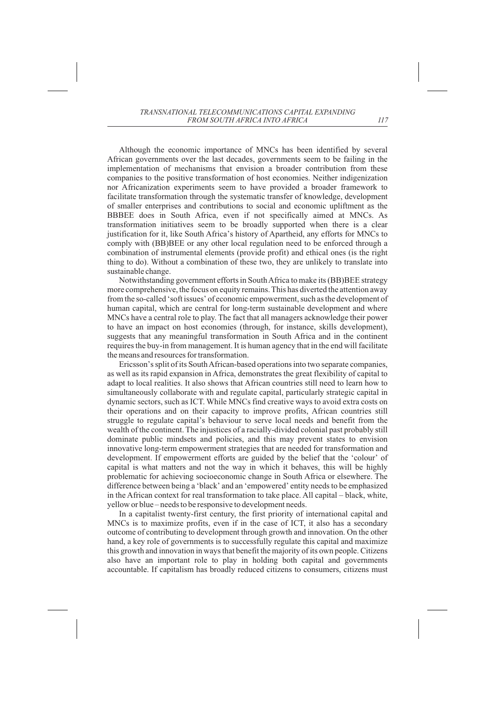Although the economic importance of MNCs has been identified by several African governments over the last decades, governments seem to be failing in the implementation of mechanisms that envision a broader contribution from these companies to the positive transformation of host economies. Neither indigenization nor Africanization experiments seem to have provided a broader framework to facilitate transformation through the systematic transfer of knowledge, development of smaller enterprises and contributions to social and economic upliftment as the BBBEE does in South Africa, even if not specifically aimed at MNCs. As transformation initiatives seem to be broadly supported when there is a clear justification for it, like South Africa's history of Apartheid, any efforts for MNCs to comply with (BB)BEE or any other local regulation need to be enforced through a combination of instrumental elements (provide profit) and ethical ones (is the right thing to do). Without a combination of these two, they are unlikely to translate into sustainable change.

Notwithstanding government efforts in SouthAfrica to make its (BB)BEE strategy more comprehensive, the focus on equity remains. This has diverted the attention away from the so-called 'soft issues' of economic empowerment, such as the development of human capital, which are central for long-term sustainable development and where MNCs have a central role to play. The fact that all managers acknowledge their power to have an impact on host economies (through, for instance, skills development), suggests that any meaningful transformation in South Africa and in the continent requires the buy-in from management. It is human agency that in the end will facilitate the means and resources for transformation.

Ericsson's split of its SouthAfrican-based operations into two separate companies, as well as its rapid expansion in Africa, demonstrates the great flexibility of capital to adapt to local realities. It also shows that African countries still need to learn how to simultaneously collaborate with and regulate capital, particularly strategic capital in dynamic sectors, such as ICT. While MNCs find creative ways to avoid extra costs on their operations and on their capacity to improve profits, African countries still struggle to regulate capital's behaviour to serve local needs and benefit from the wealth of the continent. The injustices of a racially-divided colonial past probably still dominate public mindsets and policies, and this may prevent states to envision innovative long-term empowerment strategies that are needed for transformation and development. If empowerment efforts are guided by the belief that the 'colour' of capital is what matters and not the way in which it behaves, this will be highly problematic for achieving socioeconomic change in South Africa or elsewhere. The difference between being a 'black' and an 'empowered' entity needs to be emphasized in the African context for real transformation to take place. All capital – black, white, yellow or blue – needs to be responsive to development needs.

In a capitalist twenty-first century, the first priority of international capital and MNCs is to maximize profits, even if in the case of ICT, it also has a secondary outcome of contributing to development through growth and innovation. On the other hand, a key role of governments is to successfully regulate this capital and maximize this growth and innovation in ways that benefit the majority of its own people. Citizens also have an important role to play in holding both capital and governments accountable. If capitalism has broadly reduced citizens to consumers, citizens must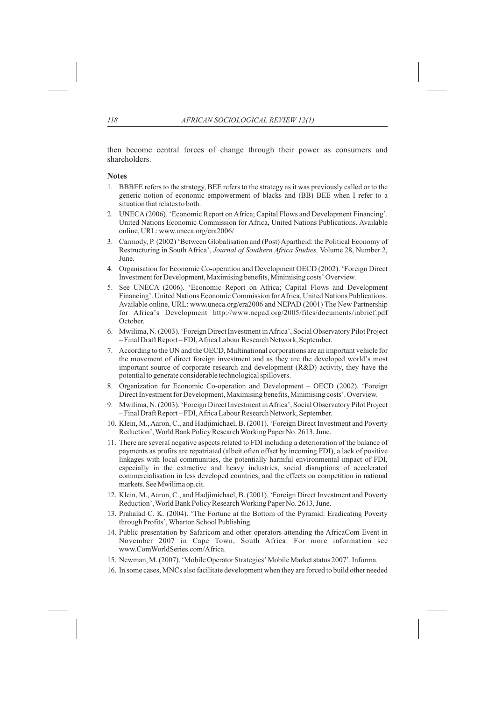then become central forces of change through their power as consumers and shareholders.

### **Notes**

- 1. BBBEE refers to the strategy, BEE refers to the strategy as it was previously called or to the generic notion of economic empowerment of blacks and (BB) BEE when I refer to a situation that relates to both.
- 2. UNECA (2006). 'Economic Report on Africa; Capital Flows and Development Financing'. United Nations Economic Commission for Africa, United Nations Publications. Available online, URL: www.uneca.org/era2006/
- 3. Carmody, P. (2002) 'Between Globalisation and (Post) Apartheid: the Political Economy of Restructuring in South Africa', Journal of Southern Africa Studies, Volume 28, Number 2, June.
- 4. Organisation for Economic Co-operation and Development OECD (2002). 'Foreign Direct Investment for Development, Maximising benefits, Minimising costs' Overview.
- 5. See UNECA (2006). 'Economic Report on Africa; Capital Flows and Development Financing'. United Nations Economic Commission forAfrica, United Nations Publications. Available online, URL: www.uneca.org/era2006 and NEPAD (2001) The New Partnership for Africa's Development http://www.nepad.org/2005/files/documents/inbrief.pdf October.
- 6. Mwilima, N. (2003). 'Foreign Direct Investment inAfrica', Social Observatory Pilot Project – Final Draft Report – FDI,Africa Labour Research Network, September.
- 7. According to the UN and the OECD, Multinational corporations are an important vehicle for the movement of direct foreign investment and as they are the developed world's most important source of corporate research and development (R&D) activity, they have the potential to generate considerable technological spillovers.
- 8. Organization for Economic Co-operation and Development OECD (2002). 'Foreign Direct Investment for Development, Maximising benefits, Minimising costs'. Overview.
- 9. Mwilima, N. (2003). 'Foreign Direct Investment inAfrica', Social Observatory Pilot Project – Final Draft Report – FDI,Africa Labour Research Network, September.
- 10. Klein, M., Aaron, C., and Hadjimichael, B. (2001). 'Foreign Direct Investment and Poverty Reduction', World Bank Policy Research Working Paper No. 2613, June.
- 11. There are several negative aspects related to FDI including a deterioration of the balance of payments as profits are repatriated (albeit often offset by incoming FDI), a lack of positive linkages with local communities, the potentially harmful environmental impact of FDI, especially in the extractive and heavy industries, social disruptions of accelerated commercialisation in less developed countries, and the effects on competition in national markets. See Mwilima op.cit.
- 12. Klein, M., Aaron, C., and Hadjimichael, B. (2001). 'Foreign Direct Investment and Poverty Reduction', World Bank Policy Research Working Paper No. 2613, June.
- 13. Prahalad C. K. (2004). 'The Fortune at the Bottom of the Pyramid: Eradicating Poverty through Profits', Wharton School Publishing.
- 14. Public presentation by Safaricom and other operators attending the AfricaCom Event in November 2007 in Cape Town, South Africa. For more information see www.ComWorldSeries.com/Africa.
- 15. Newman, M. (2007). 'Mobile Operator Strategies' Mobile Market status 2007'. Informa.
- 16. In some cases, MNCs also facilitate development when they are forced to build other needed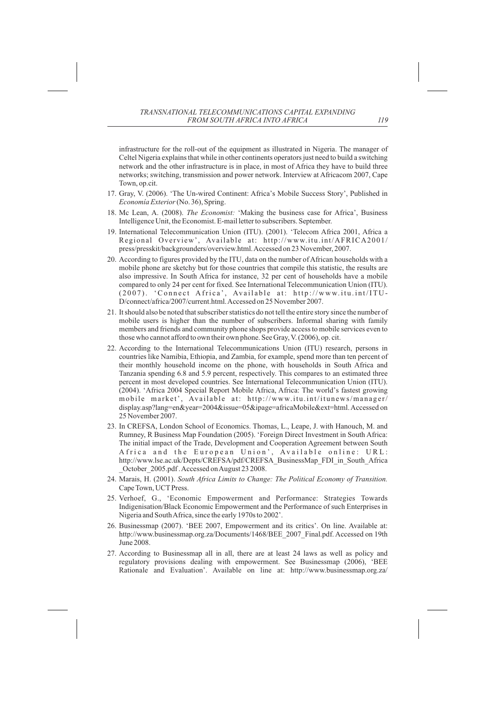infrastructure for the roll-out of the equipment as illustrated in Nigeria. The manager of Celtel Nigeria explains that while in other continents operators just need to build a switching network and the other infrastructure is in place, in most of Africa they have to build three networks; switching, transmission and power network. Interview at Africacom 2007, Cape Town, op.cit.

- 17. Gray, V. (2006). 'The Un-wired Continent: Africa's Mobile Success Story', Published in (No. 36), Spring. *Economía Exterior*
- 18. Mc Lean, A. (2008). *The Economist:* 'Making the business case for Africa', Business Intelligence Unit, the Economist. E-mail letter to subscribers. September.
- 19. International Telecommunication Union (ITU). (2001). 'Telecom Africa 2001, Africa a Regional Overview', Available at: http://www.itu.int/AFRICA2001/ press/presskit/backgrounders/overview.html.Accessed on 23 November, 2007.
- 20. According to figures provided by the ITU, data on the number of African households with a mobile phone are sketchy but for those countries that compile this statistic, the results are also impressive. In South Africa for instance, 32 per cent of households have a mobile compared to only 24 per cent for fixed. See International Telecommunication Union (ITU). (2007). 'Connect Africa', Available at: http://www.itu.int/ITU-D/connect/africa/2007/current.html.Accessed on 25 November 2007.
- 21. It should also be noted that subscriber statistics do not tell the entire story since the number of mobile users is higher than the number of subscribers. Informal sharing with family members and friends and community phone shops provide access to mobile services even to those who cannot afford to own their own phone. See Gray, V. (2006), op. cit.
- 22. According to the International Telecommunications Union (ITU) research, persons in countries like Namibia, Ethiopia, and Zambia, for example, spend more than ten percent of their monthly household income on the phone, with households in South Africa and Tanzania spending 6.8 and 5.9 percent, respectively. This compares to an estimated three percent in most developed countries. See International Telecommunication Union (ITU). (2004). 'Africa 2004 Special Report Mobile Africa, Africa: The world's fastest growing mobile market', Available at: http://www.itu.int/itunews/manager/ display.asp?lang=en&year=2004&issue=05&ipage=africaMobile&ext=html.Accessed on 25 November 2007.
- 23. In CREFSA, London School of Economics. Thomas, L., Leape, J. with Hanouch, M. and Rumney, R Business Map Foundation (2005). 'Foreign Direct Investment in South Africa: The initial impact of the Trade, Development and Cooperation Agreement between South Africa and the European Union', Available online: URL: http://www.lse.ac.uk/Depts/CREFSA/pdf/CREFSA\_BusinessMap\_FDI\_in\_South\_Africa October 2005.pdf. Accessed on August 23 2008.
- 24. Marais, H. (2001). *South Africa Limits to Change: The Political Economy of Transition.* Cape Town, UCT Press.
- 25. Verhoef, G., 'Economic Empowerment and Performance: Strategies Towards Indigenisation/Black Economic Empowerment and the Performance of such Enterprises in Nigeria and SouthAfrica, since the early 1970s to 2002'.
- 26. Businessmap (2007). 'BEE 2007, Empowerment and its critics'. On line. Available at: http://www.businessmap.org.za/Documents/1468/BEE\_2007\_Final.pdf. Accessed on 19th June 2008.
- 27. According to Businessmap all in all, there are at least 24 laws as well as policy and regulatory provisions dealing with empowerment. See Businessmap (2006), 'BEE Rationale and Evaluation'. Available on line at: http://www.businessmap.org.za/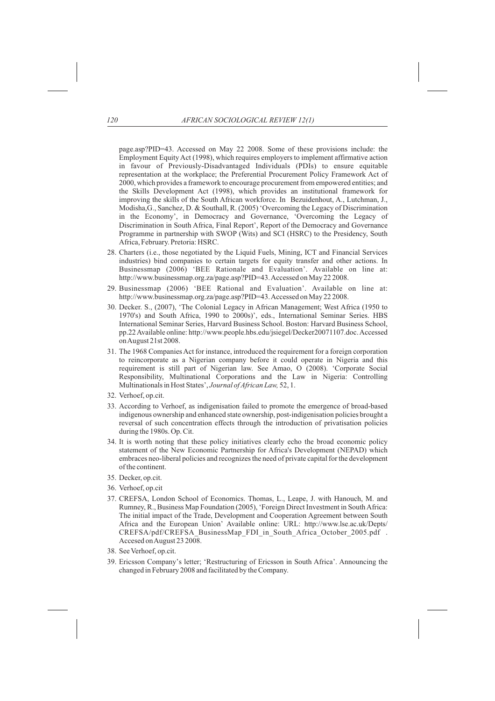page.asp?PID=43. Accessed on May 22 2008. Some of these provisions include: the Employment Equity Act (1998), which requires employers to implement affirmative action in favour of Previously-Disadvantaged Individuals (PDIs) to ensure equitable representation at the workplace; the Preferential Procurement Policy Framework Act of 2000, which provides a framework to encourage procurement from empowered entities; and the Skills Development Act (1998), which provides an institutional framework for improving the skills of the South African workforce. In Bezuidenhout, A., Lutchman, J., Modisha,G., Sanchez, D. & Southall, R. (2005) 'Overcoming the Legacy of Discrimination in the Economy', in Democracy and Governance, 'Overcoming the Legacy of Discrimination in South Africa, Final Report', Report of the Democracy and Governance Programme in partnership with SWOP (Wits) and SCI (HSRC) to the Presidency, South Africa, February. Pretoria: HSRC.

- 28. Charters (i.e., those negotiated by the Liquid Fuels, Mining, ICT and Financial Services industries) bind companies to certain targets for equity transfer and other actions. In Businessmap (2006) 'BEE Rationale and Evaluation'. Available on line at: http://www.businessmap.org.za/page.asp?PID=43.Accessed on May 22 2008.
- 29. Businessmap (2006) 'BEE Rational and Evaluation'. Available on line at: http://www.businessmap.org.za/page.asp?PID=43.Accessed on May 22 2008.
- 30. Decker. S., (2007), 'The Colonial Legacy in African Management; West Africa (1950 to 1970's) and South Africa, 1990 to 2000s)', eds., International Seminar Series. HBS International Seminar Series, Harvard Business School. Boston: Harvard Business School, pp.22Available online: http://www.people.hbs.edu/jsiegel/Decker20071107.doc.Accessed onAugust 21st 2008.
- 31. The 1968 Companies Act for instance, introduced the requirement for a foreign corporation to reincorporate as a Nigerian company before it could operate in Nigeria and this requirement is still part of Nigerian law. See Amao, O (2008). 'Corporate Social Responsibility, Multinational Corporations and the Law in Nigeria: Controlling Multinationals in Host States', Journal of African Law, 52, 1.
- 32. Verhoef, op.cit.
- 33. According to Verhoef, as indigenisation failed to promote the emergence of broad-based indigenous ownership and enhanced state ownership, post-indigenisation policies brought a reversal of such concentration effects through the introduction of privatisation policies during the 1980s. Op. Cit.
- 34. It is worth noting that these policy initiatives clearly echo the broad economic policy statement of the New Economic Partnership for Africa's Development (NEPAD) which embraces neo-liberal policies and recognizes the need of private capital for the development of the continent.
- 35. Decker, op.cit.
- 36. Verhoef, op.cit
- 37. CREFSA, London School of Economics. Thomas, L., Leape, J. with Hanouch, M. and Rumney, R., Business Map Foundation (2005), 'Foreign Direct Investment in South Africa: The initial impact of the Trade, Development and Cooperation Agreement between South Africa and the European Union' Available online: URL: http://www.lse.ac.uk/Depts/ CREFSA/pdf/CREFSA\_BusinessMap\_FDI\_in\_South\_Africa\_October\_2005.pdf . Accesed onAugust 23 2008.
- 38. See Verhoef, op.cit.
- 39. Ericsson Company's letter; 'Restructuring of Ericsson in South Africa'. Announcing the changed in February 2008 and facilitated by the Company.